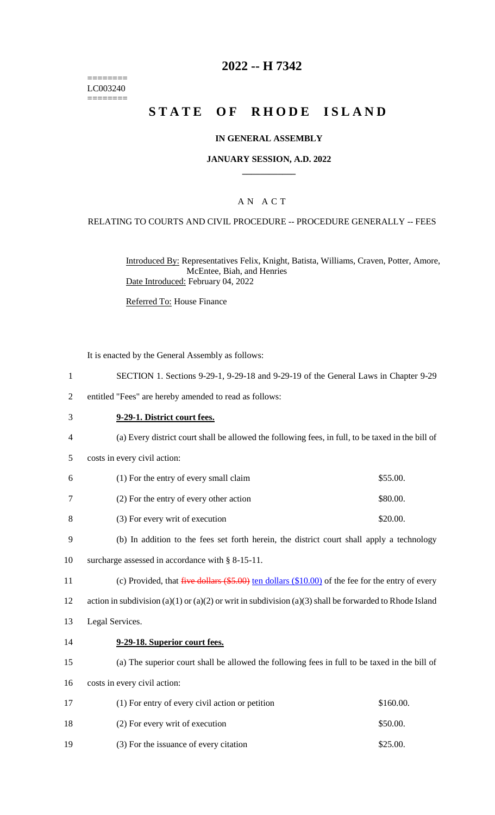======== LC003240 ========

# **2022 -- H 7342**

# **STATE OF RHODE ISLAND**

#### **IN GENERAL ASSEMBLY**

### **JANUARY SESSION, A.D. 2022 \_\_\_\_\_\_\_\_\_\_\_\_**

### A N A C T

#### RELATING TO COURTS AND CIVIL PROCEDURE -- PROCEDURE GENERALLY -- FEES

Introduced By: Representatives Felix, Knight, Batista, Williams, Craven, Potter, Amore, McEntee, Biah, and Henries Date Introduced: February 04, 2022

Referred To: House Finance

It is enacted by the General Assembly as follows:

|  | SECTION 1. Sections 9-29-1, 9-29-18 and 9-29-19 of the General Laws in Chapter 9-29 |  |  |  |  |  |  |  |  |  |  |
|--|-------------------------------------------------------------------------------------|--|--|--|--|--|--|--|--|--|--|
|--|-------------------------------------------------------------------------------------|--|--|--|--|--|--|--|--|--|--|

- 2 entitled "Fees" are hereby amended to read as follows:
- 3 **9-29-1. District court fees.** 4 (a) Every district court shall be allowed the following fees, in full, to be taxed in the bill of 5 costs in every civil action: 6 (1) For the entry of every small claim \$55.00. 7 (2) For the entry of every other action \$80.00. 8 (3) For every writ of execution \$20.00. 9 (b) In addition to the fees set forth herein, the district court shall apply a technology 10 surcharge assessed in accordance with § 8-15-11. 11 (c) Provided, that five dollars (\$5.00) ten dollars (\$10.00) of the fee for the entry of every 12 action in subdivision (a)(1) or (a)(2) or writ in subdivision (a)(3) shall be forwarded to Rhode Island 13 Legal Services. 14 **9-29-18. Superior court fees.** 15 (a) The superior court shall be allowed the following fees in full to be taxed in the bill of 16 costs in every civil action: 17 (1) For entry of every civil action or petition \$160.00. 18 (2) For every writ of execution \$50.00.
- 19 (3) For the issuance of every citation \$25.00.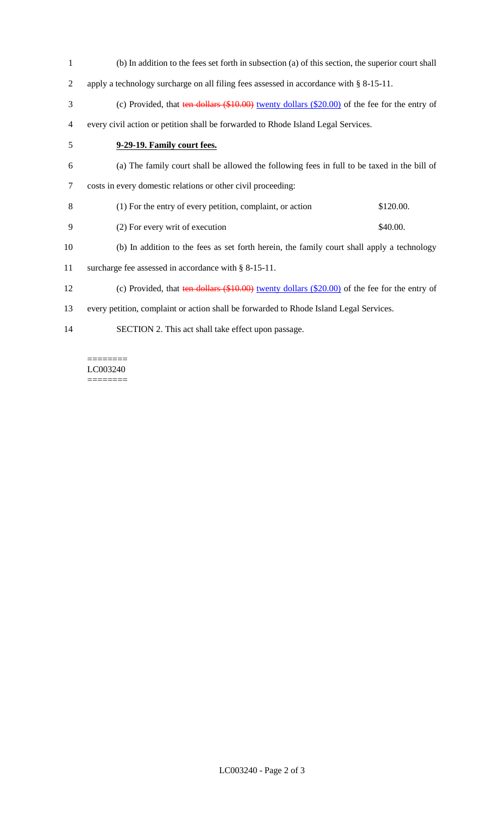(b) In addition to the fees set forth in subsection (a) of this section, the superior court shall apply a technology surcharge on all filing fees assessed in accordance with § 8-15-11. 3 (c) Provided, that ten dollars (\$10.00) twenty dollars (\$20.00) of the fee for the entry of every civil action or petition shall be forwarded to Rhode Island Legal Services. **9-29-19. Family court fees.** (a) The family court shall be allowed the following fees in full to be taxed in the bill of costs in every domestic relations or other civil proceeding: (1) For the entry of every petition, complaint, or action \$120.00. 9 (2) For every writ of execution \$40.00. (b) In addition to the fees as set forth herein, the family court shall apply a technology surcharge fee assessed in accordance with § 8-15-11. (c) Provided, that ten dollars (\$10.00) twenty dollars (\$20.00) of the fee for the entry of every petition, complaint or action shall be forwarded to Rhode Island Legal Services. SECTION 2. This act shall take effect upon passage.

======== LC003240 ========